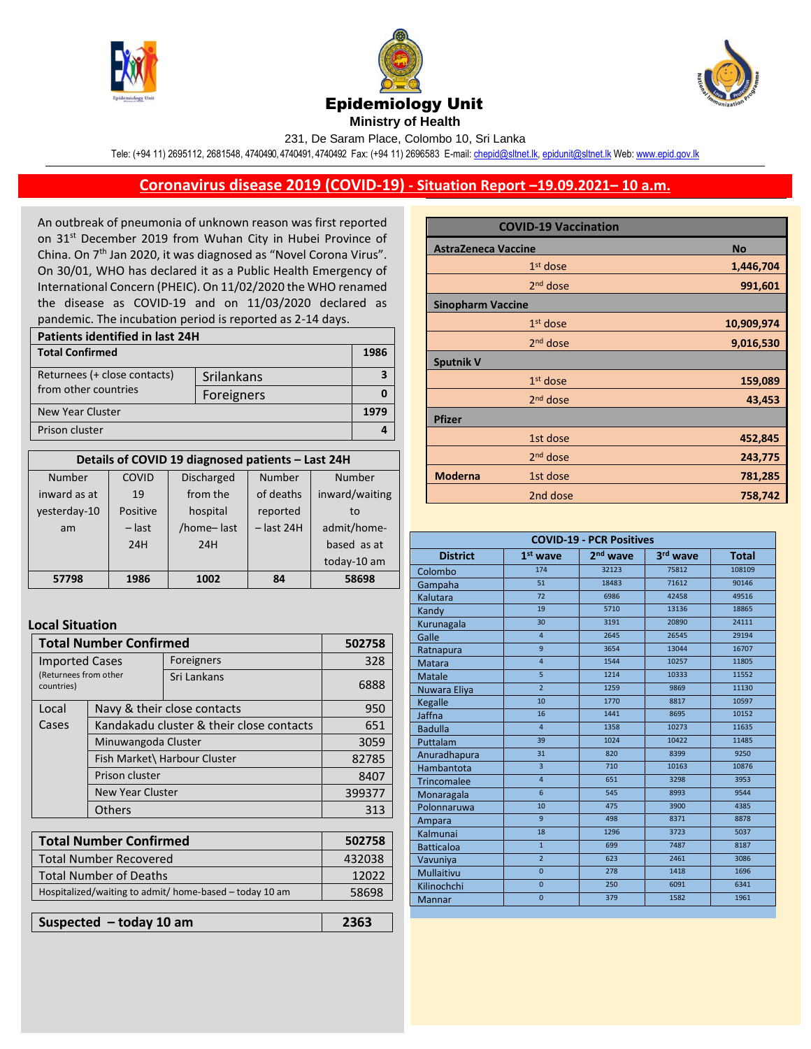





**Ministry of Health** 

231, De Saram Place, Colombo 10, Sri Lanka

Tele: (+94 11) 2695112, 2681548, 4740490, 4740491, 4740492 Fax: (+94 11) 2696583 E-mail[: chepid@sltnet.lk,](mailto:chepi@sltnet.lk) [epidunit@sltnet.lk](mailto:epidunit@sltnet.lk) Web[: www.epid.gov.lk](http://www.epid.gov.lk/)

## **Coronavirus disease 2019 (COVID-19) - Situation Report –19.09.2021– 10 a.m.**

An outbreak of pneumonia of unknown reason was first reported on 31<sup>st</sup> December 2019 from Wuhan City in Hubei Province of China. On 7<sup>th</sup> Jan 2020, it was diagnosed as "Novel Corona Virus". On 30/01, WHO has declared it as a Public Health Emergency of International Concern (PHEIC). On 11/02/2020 the WHO renamed the disease as COVID-19 and on 11/03/2020 declared as pandemic. The incubation period is reported as 2-14 days.

| <b>Patients identified in last 24H</b> |            |      |  |
|----------------------------------------|------------|------|--|
| <b>Total Confirmed</b>                 |            | 1986 |  |
| Returnees (+ close contacts)           | Srilankans |      |  |
| from other countries                   | Foreigners |      |  |
| <b>New Year Cluster</b>                |            |      |  |
| Prison cluster                         |            |      |  |

| Details of COVID 19 diagnosed patients - Last 24H |          |                   |              |                |
|---------------------------------------------------|----------|-------------------|--------------|----------------|
| <b>Number</b>                                     | COVID    | <b>Discharged</b> | Number       | Number         |
| inward as at                                      | 19       | from the          | of deaths    | inward/waiting |
| yesterday-10                                      | Positive | hospital          | reported     | to             |
| am                                                | – last   | /home-last        | $-$ last 24H | admit/home-    |
|                                                   | 24H      | 24H               |              | based as at    |
|                                                   |          |                   |              | today-10 am    |
| 57798                                             | 1986     | 1002              | 84           | 58698          |

## **Local Situation**

| <b>Total Number Confirmed</b>                                |                                                                 |                              | 502758 |
|--------------------------------------------------------------|-----------------------------------------------------------------|------------------------------|--------|
| <b>Imported Cases</b><br>(Returnees from other<br>countries) |                                                                 | Foreigners                   | 328    |
|                                                              |                                                                 | Sri Lankans                  | 6888   |
| Local                                                        | Navy & their close contacts                                     | 950                          |        |
| Cases                                                        | Kandakadu cluster & their close contacts<br>Minuwangoda Cluster |                              | 651    |
|                                                              |                                                                 |                              | 3059   |
|                                                              |                                                                 | Fish Market\ Harbour Cluster | 82785  |
|                                                              | Prison cluster                                                  |                              | 8407   |
|                                                              | <b>New Year Cluster</b>                                         |                              | 399377 |
|                                                              | <b>Others</b>                                                   |                              | 313    |

| <b>Total Number Confirmed</b>                           | 502758 |
|---------------------------------------------------------|--------|
| <b>Total Number Recovered</b>                           | 432038 |
| <b>Total Number of Deaths</b>                           | 12022  |
| Hospitalized/waiting to admit/ home-based - today 10 am | 58698  |
|                                                         |        |
| Suspected - today 10 am                                 | 2363   |

|                            | <b>COVID-19 Vaccination</b> |            |
|----------------------------|-----------------------------|------------|
| <b>AstraZeneca Vaccine</b> |                             | <b>No</b>  |
|                            | $1st$ dose                  | 1,446,704  |
|                            | $2nd$ dose                  | 991,601    |
| <b>Sinopharm Vaccine</b>   |                             |            |
|                            | $1st$ dose                  | 10,909,974 |
|                            | 2 <sup>nd</sup> dose        | 9,016,530  |
| <b>Sputnik V</b>           |                             |            |
|                            | $1st$ dose                  | 159,089    |
|                            | $2nd$ dose                  | 43,453     |
| <b>Pfizer</b>              |                             |            |
|                            | 1st dose                    | 452,845    |
|                            | 2 <sup>nd</sup> dose        | 243,775    |
| <b>Moderna</b>             | 1st dose                    | 781,285    |
|                            | 2nd dose                    | 758,742    |

| <b>COVID-19 - PCR Positives</b> |                 |                      |          |              |
|---------------------------------|-----------------|----------------------|----------|--------------|
| <b>District</b>                 | $1st$ wave      | 2 <sup>nd</sup> wave | 3rd wave | <b>Total</b> |
| Colombo                         | 174             | 32123                | 75812    | 108109       |
| Gampaha                         | 51              | 18483                | 71612    | 90146        |
| Kalutara                        | 72              | 6986                 | 42458    | 49516        |
| Kandy                           | 19              | 5710                 | 13136    | 18865        |
| Kurunagala                      | 30              | 3191                 | 20890    | 24111        |
| Galle                           | $\overline{4}$  | 2645                 | 26545    | 29194        |
| Ratnapura                       | 9               | 3654                 | 13044    | 16707        |
| <b>Matara</b>                   | $\overline{4}$  | 1544                 | 10257    | 11805        |
| <b>Matale</b>                   | 5               | 1214                 | 10333    | 11552        |
| Nuwara Eliya                    | $\overline{2}$  | 1259                 | 9869     | 11130        |
| <b>Kegalle</b>                  | 10              | 1770                 | 8817     | 10597        |
| Jaffna                          | 16              | 1441                 | 8695     | 10152        |
| <b>Badulla</b>                  | $\overline{4}$  | 1358                 | 10273    | 11635        |
| Puttalam                        | 39              | 1024                 | 10422    | 11485        |
| Anuradhapura                    | 31              | 820                  | 8399     | 9250         |
| Hambantota                      | $\overline{3}$  | 710                  | 10163    | 10876        |
| <b>Trincomalee</b>              | $\overline{4}$  | 651                  | 3298     | 3953         |
| Monaragala                      | $6\overline{6}$ | 545                  | 8993     | 9544         |
| Polonnaruwa                     | 10              | 475                  | 3900     | 4385         |
| Ampara                          | $\mathbf{q}$    | 498                  | 8371     | 8878         |
| Kalmunai                        | 18              | 1296                 | 3723     | 5037         |
| <b>Batticaloa</b>               | $\overline{1}$  | 699                  | 7487     | 8187         |
| Vavuniya                        | $\overline{2}$  | 623                  | 2461     | 3086         |
| Mullaitivu                      | $\overline{0}$  | 278                  | 1418     | 1696         |
| Kilinochchi                     | $\overline{0}$  | 250                  | 6091     | 6341         |
| <b>Mannar</b>                   | $\overline{0}$  | 379                  | 1582     | 1961         |